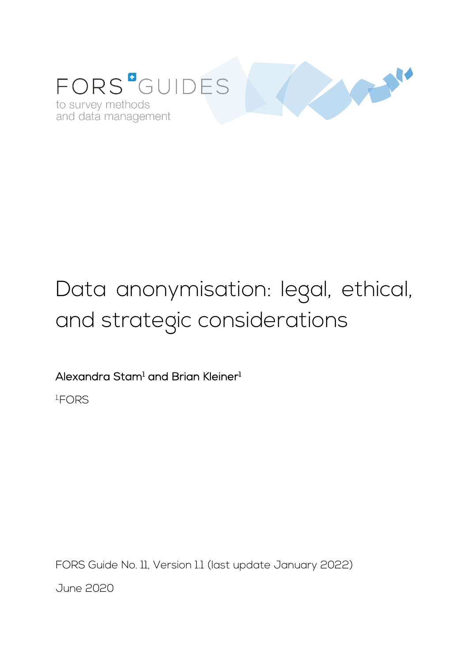

# Data anonymisation: legal, ethical, and strategic considerations

Alexandra Stam<sup>1</sup> and Brian Kleiner<sup>1</sup>

1. FORS

FORS Guide No. 11, Version 1.1 (last update January 2022) June 2020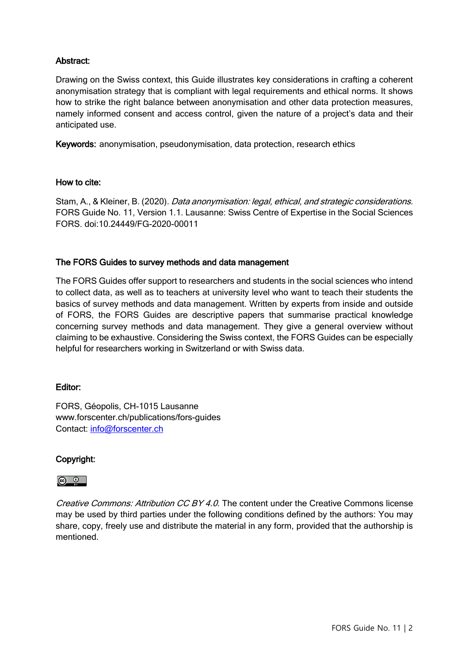# Abstract:

Drawing on the Swiss context, this Guide illustrates key considerations in crafting a coherent anonymisation strategy that is compliant with legal requirements and ethical norms. It shows how to strike the right balance between anonymisation and other data protection measures, namely informed consent and access control, given the nature of a project's data and their anticipated use.

Keywords: anonymisation, pseudonymisation, data protection, research ethics

#### How to cite:

Stam, A., & Kleiner, B. (2020). *Data anonymisation: legal, ethical, and strategic considerations.* FORS Guide No. 11, Version 1.1. Lausanne: Swiss Centre of Expertise in the Social Sciences FORS. doi:10.24449/FG-2020-00011

#### The FORS Guides to survey methods and data management

The FORS Guides offer support to researchers and students in the social sciences who intend to collect data, as well as to teachers at university level who want to teach their students the basics of survey methods and data management. Written by experts from inside and outside of FORS, the FORS Guides are descriptive papers that summarise practical knowledge concerning survey methods and data management. They give a general overview without claiming to be exhaustive. Considering the Swiss context, the FORS Guides can be especially helpful for researchers working in Switzerland or with Swiss data.

#### Editor:

FORS, Géopolis, CH-1015 Lausanne www.forscenter.ch/publications/fors-guides Contact: [info@forscenter.ch](mailto:info@forscenter.ch)

## Copyright:

#### <u>ේ</u>

Creative Commons: Attribution CC BY 4.0. The content under the Creative Commons license may be used by third parties under the following conditions defined by the authors: You may share, copy, freely use and distribute the material in any form, provided that the authorship is mentioned.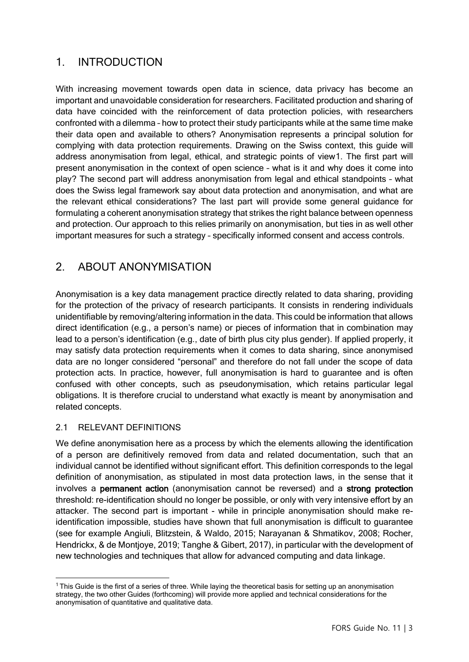# 1. INTRODUCTION

With increasing movement towards open data in science, data privacy has become an important and unavoidable consideration for researchers. Facilitated production and sharing of data have coincided with the reinforcement of data protection policies, with researchers confronted with a dilemma – how to protect their study participants while at the same time make their data open and available to others? Anonymisation represents a principal solution for complying with data protection requirements. Drawing on the Swiss context, this guide will address anonymisation from legal, ethical, and strategic points of view[1](#page-2-0). The first part will present anonymisation in the context of open science – what is it and why does it come into play? The second part will address anonymisation from legal and ethical standpoints – what does the Swiss legal framework say about data protection and anonymisation, and what are the relevant ethical considerations? The last part will provide some general guidance for formulating a coherent anonymisation strategy that strikes the right balance between openness and protection. Our approach to this relies primarily on anonymisation, but ties in as well other important measures for such a strategy – specifically informed consent and access controls.

# 2. ABOUT ANONYMISATION

Anonymisation is a key data management practice directly related to data sharing, providing for the protection of the privacy of research participants. It consists in rendering individuals unidentifiable by removing/altering information in the data. This could be information that allows direct identification (e.g., a person's name) or pieces of information that in combination may lead to a person's identification (e.g., date of birth plus city plus gender). If applied properly, it may satisfy data protection requirements when it comes to data sharing, since anonymised data are no longer considered "personal" and therefore do not fall under the scope of data protection acts. In practice, however, full anonymisation is hard to guarantee and is often confused with other concepts, such as pseudonymisation, which retains particular legal obligations. It is therefore crucial to understand what exactly is meant by anonymisation and related concepts.

## 2.1 RELEVANT DEFINITIONS

We define anonymisation here as a process by which the elements allowing the identification of a person are definitively removed from data and related documentation, such that an individual cannot be identified without significant effort. This definition corresponds to the legal definition of anonymisation, as stipulated in most data protection laws, in the sense that it involves a permanent action (anonymisation cannot be reversed) and a strong protection threshold: re-identification should no longer be possible, or only with very intensive effort by an attacker. The second part is important - while in principle anonymisation should make reidentification impossible, studies have shown that full anonymisation is difficult to guarantee (see for example Angiuli, Blitzstein, & Waldo, 2015; Narayanan & Shmatikov, 2008; Rocher, Hendrickx, & de Montjoye, 2019; Tanghe & Gibert, 2017), in particular with the development of new technologies and techniques that allow for advanced computing and data linkage.

<span id="page-2-0"></span><sup>1</sup> This Guide is the first of a series of three. While laying the theoretical basis for setting up an anonymisation strategy, the two other Guides (forthcoming) will provide more applied and technical considerations for the anonymisation of quantitative and qualitative data.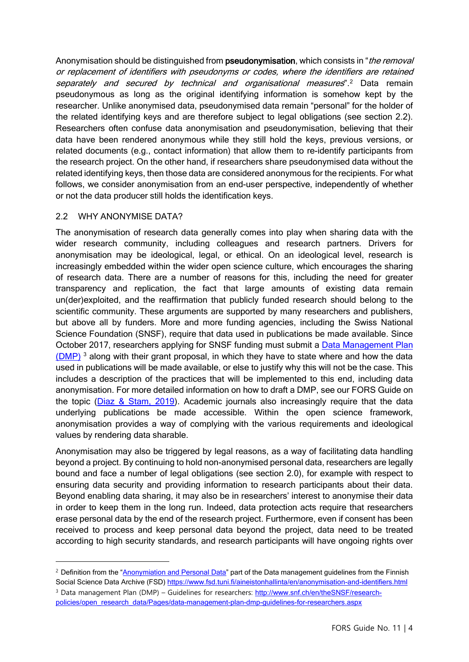Anonymisation should be distinguished from pseudonymisation, which consists in "*the removal* or replacement of identifiers with pseudonyms or codes, where the identifiers are retained separately and secured by technical and organisational measures<sup>" [2](#page-3-0)</sup> Data remain pseudonymous as long as the original identifying information is somehow kept by the researcher. Unlike anonymised data, pseudonymised data remain "personal" for the holder of the related identifying keys and are therefore subject to legal obligations (see section 2.2). Researchers often confuse data anonymisation and pseudonymisation, believing that their data have been rendered anonymous while they still hold the keys, previous versions, or related documents (e.g., contact information) that allow them to re-identify participants from the research project. On the other hand, if researchers share pseudonymised data without the related identifying keys, then those data are considered anonymous for the recipients. For what follows, we consider anonymisation from an end-user perspective, independently of whether or not the data producer still holds the identification keys.

#### 2.2 WHY ANONYMISE DATA?

The anonymisation of research data generally comes into play when sharing data with the wider research community, including colleagues and research partners. Drivers for anonymisation may be ideological, legal, or ethical. On an ideological level, research is increasingly embedded within the wider open science culture, which encourages the sharing of research data. There are a number of reasons for this, including the need for greater transparency and replication, the fact that large amounts of existing data remain un(der)exploited, and the reaffirmation that publicly funded research should belong to the scientific community. These arguments are supported by many researchers and publishers, but above all by funders. More and more funding agencies, including the Swiss National Science Foundation (SNSF), require that data used in publications be made available. Since October 2017, researchers applying for SNSF funding must submit a [Data Management Plan](https://www.snf.ch/en/FAiWVH4WvpKvohw9/topic/research-policies)  [\(DMP\)](https://www.snf.ch/en/FAiWVH4WvpKvohw9/topic/research-policies)<sup>[3](#page-3-1)</sup> along with their grant proposal, in which they have to state where and how the data used in publications will be made available, or else to justify why this will not be the case. This includes a description of the practices that will be implemented to this end, including data anonymisation. For more detailed information on how to draft a DMP, see our FORS Guide on the topic (Diaz & [Stam, 2019\)](https://forscenter.ch/fors-guides/fg-2019-00007/). Academic journals also increasingly require that the data underlying publications be made accessible. Within the open science framework, anonymisation provides a way of complying with the various requirements and ideological values by rendering data sharable.

Anonymisation may also be triggered by legal reasons, as a way of facilitating data handling beyond a project. By continuing to hold non-anonymised personal data, researchers are legally bound and face a number of legal obligations (see section 2.0), for example with respect to ensuring data security and providing information to research participants about their data. Beyond enabling data sharing, it may also be in researchers' interest to anonymise their data in order to keep them in the long run. Indeed, data protection acts require that researchers erase personal data by the end of the research project. Furthermore, even if consent has been received to process and keep personal data beyond the project, data need to be treated according to high security standards, and research participants will have ongoing rights over

<span id="page-3-1"></span><span id="page-3-0"></span><sup>&</sup>lt;sup>2</sup> Definition from the ["Anonymiation and Personal Data"](https://www.fsd.tuni.fi/en/services/data-management-guidelines/anonymisation-and-identifiers/) part of the Data management guidelines from the Finnish Social Science Data Archive (FSD) <https://www.fsd.tuni.fi/aineistonhallinta/en/anonymisation-and-identifiers.html> <sup>3</sup> Data management Plan (DMP) – Guidelines for researchers: [http://www.snf.ch/en/theSNSF/research](http://www.snf.ch/en/theSNSF/research-policies/open_research_data/Pages/data-management-plan-dmp-guidelines-for-researchers.aspx)[policies/open\\_research\\_data/Pages/data-management-plan-dmp-guidelines-for-researchers.aspx](http://www.snf.ch/en/theSNSF/research-policies/open_research_data/Pages/data-management-plan-dmp-guidelines-for-researchers.aspx)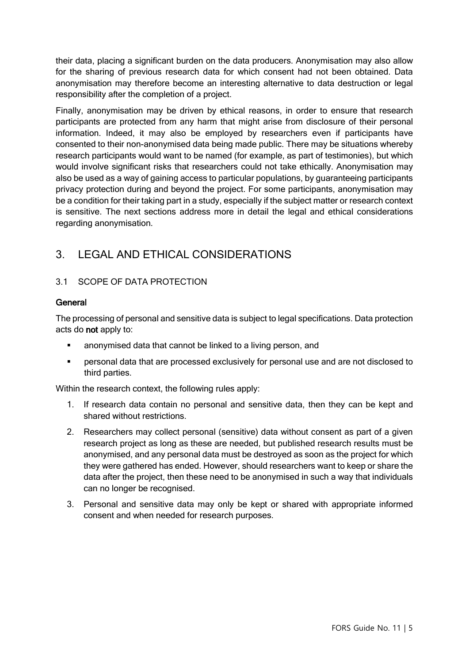their data, placing a significant burden on the data producers. Anonymisation may also allow for the sharing of previous research data for which consent had not been obtained. Data anonymisation may therefore become an interesting alternative to data destruction or legal responsibility after the completion of a project.

Finally, anonymisation may be driven by ethical reasons, in order to ensure that research participants are protected from any harm that might arise from disclosure of their personal information. Indeed, it may also be employed by researchers even if participants have consented to their non-anonymised data being made public. There may be situations whereby research participants would want to be named (for example, as part of testimonies), but which would involve significant risks that researchers could not take ethically. Anonymisation may also be used as a way of gaining access to particular populations, by guaranteeing participants privacy protection during and beyond the project. For some participants, anonymisation may be a condition for their taking part in a study, especially if the subject matter or research context is sensitive. The next sections address more in detail the legal and ethical considerations regarding anonymisation.

# 3. LEGAL AND ETHICAL CONSIDERATIONS

# 3.1 SCOPE OF DATA PROTECTION

## **General**

The processing of personal and sensitive data is subject to legal specifications. Data protection acts do not apply to:

- anonymised data that cannot be linked to a living person, and
- personal data that are processed exclusively for personal use and are not disclosed to third parties.

Within the research context, the following rules apply:

- 1. If research data contain no personal and sensitive data, then they can be kept and shared without restrictions.
- 2. Researchers may collect personal (sensitive) data without consent as part of a given research project as long as these are needed, but published research results must be anonymised, and any personal data must be destroyed as soon as the project for which they were gathered has ended. However, should researchers want to keep or share the data after the project, then these need to be anonymised in such a way that individuals can no longer be recognised.
- 3. Personal and sensitive data may only be kept or shared with appropriate informed consent and when needed for research purposes.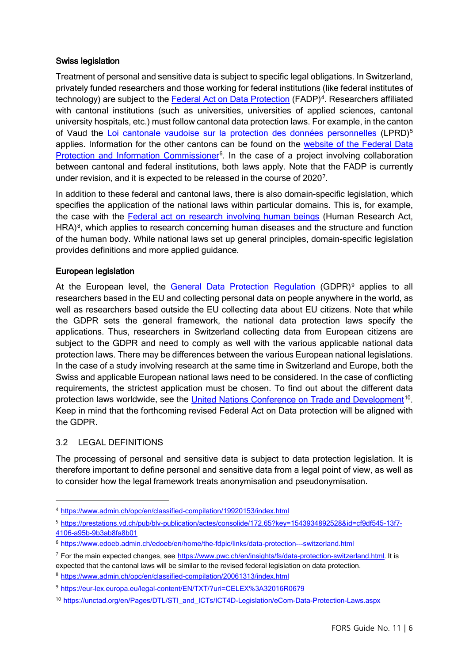#### Swiss legislation

Treatment of personal and sensitive data is subject to specific legal obligations. In Switzerland, privately funded researchers and those working for federal institutions (like federal institutes of technology) are subject to the [Federal Act on Data Protection](https://www.admin.ch/opc/en/classified-compilation/19920153/index.html) (FADP)<sup>4</sup>. Researchers affiliated with cantonal institutions (such as universities, universities of applied sciences, cantonal university hospitals, etc.) must follow cantonal data protection laws. For example, in the canton of Vaud the [Loi cantonale vaudoise sur la protection des données personnelles](https://prestations.vd.ch/pub/blv-publication/actes/consolide/172.65?key=1543934892528&id=cf9df545-13f7-4106-a95b-9b3ab8fa8b01) (LPRD)<sup>[5](#page-5-1)</sup> applies. Information for the other cantons can be found on the [website of the Federal Data](https://www.edoeb.admin.ch/edoeb/en/home/the-fdpic/links/data-protection---switzerland.html)  [Protection and Information Commissioner](https://www.edoeb.admin.ch/edoeb/en/home/the-fdpic/links/data-protection---switzerland.html)<sup>6</sup>. In the case of a project involving collaboration between cantonal and federal institutions, both laws apply. Note that the FADP is currently under revision, and it is expected to be released in the course of 2020[7](#page-5-3).

In addition to these federal and cantonal laws, there is also domain-specific legislation, which specifies the application of the national laws within particular domains. This is, for example, the case with the [Federal act on research involving human beings](https://www.admin.ch/opc/en/classified-compilation/20061313/index.html) (Human Research Act, HRA)<sup>[8](#page-5-4)</sup>, which applies to research concerning human diseases and the structure and function of the human body. While national laws set up general principles, domain-specific legislation provides definitions and more applied guidance.

#### European legislation

At the European level, the [General Data Protection Regulation](https://eur-lex.europa.eu/legal-content/EN/TXT/?uri=CELEX%3A32016R0679) (GDPR)<sup>[9](#page-5-5)</sup> applies to all researchers based in the EU and collecting personal data on people anywhere in the world, as well as researchers based outside the EU collecting data about EU citizens. Note that while the GDPR sets the general framework, the national data protection laws specify the applications. Thus, researchers in Switzerland collecting data from European citizens are subject to the GDPR and need to comply as well with the various applicable national data protection laws. There may be differences between the various European national legislations. In the case of a study involving research at the same time in Switzerland and Europe, both the Swiss and applicable European national laws need to be considered. In the case of conflicting requirements, the strictest application must be chosen. To find out about the different data protection laws worldwide, see the [United Nations Conference on Trade and Development](https://unctad.org/en/Pages/DTL/STI_and_ICTs/ICT4D-Legislation/eCom-Data-Protection-Laws.aspx)<sup>[10](#page-5-6)</sup>. Keep in mind that the forthcoming revised Federal Act on Data protection will be aligned with the GDPR.

#### 3.2 LEGAL DEFINITIONS

The processing of personal and sensitive data is subject to data protection legislation. It is therefore important to define personal and sensitive data from a legal point of view, as well as to consider how the legal framework treats anonymisation and pseudonymisation.

<span id="page-5-0"></span><sup>4</sup> <https://www.admin.ch/opc/en/classified-compilation/19920153/index.html>

<span id="page-5-1"></span><sup>5</sup> [https://prestations.vd.ch/pub/blv-publication/actes/consolide/172.65?key=1543934892528&id=cf9df545-13f7-](https://prestations.vd.ch/pub/blv-publication/actes/consolide/172.65?key=1543934892528&id=cf9df545-13f7-4106-a95b-9b3ab8fa8b01) [4106-a95b-9b3ab8fa8b01](https://prestations.vd.ch/pub/blv-publication/actes/consolide/172.65?key=1543934892528&id=cf9df545-13f7-4106-a95b-9b3ab8fa8b01)

<span id="page-5-2"></span><sup>6</sup> <https://www.edoeb.admin.ch/edoeb/en/home/the-fdpic/links/data-protection---switzerland.html>

<span id="page-5-3"></span> $7$  For the main expected changes, see <https://www.pwc.ch/en/insights/fs/data-protection-switzerland.html>. It is

expected that the cantonal laws will be similar to the revised federal legislation on data protection.

<span id="page-5-4"></span><sup>8</sup> <https://www.admin.ch/opc/en/classified-compilation/20061313/index.html>

<span id="page-5-5"></span><sup>9</sup> <https://eur-lex.europa.eu/legal-content/EN/TXT/?uri=CELEX%3A32016R0679>

<span id="page-5-6"></span><sup>10</sup> [https://unctad.org/en/Pages/DTL/STI\\_and\\_ICTs/ICT4D-Legislation/eCom-Data-Protection-Laws.aspx](https://unctad.org/en/Pages/DTL/STI_and_ICTs/ICT4D-Legislation/eCom-Data-Protection-Laws.aspx)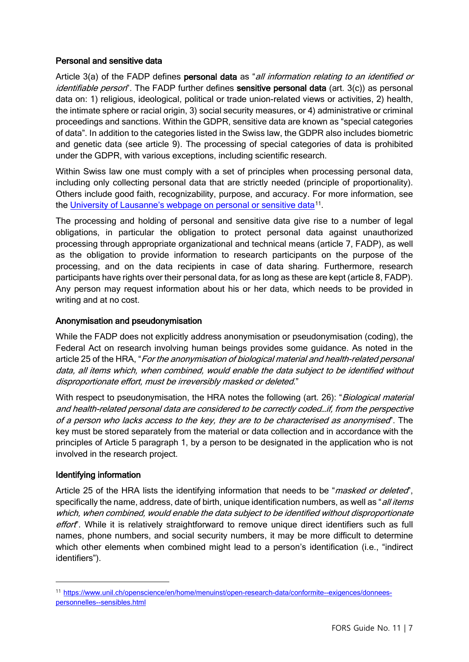#### Personal and sensitive data

Article 3(a) of the FADP defines personal data as "all information relating to an identified or identifiable person<sup>"</sup>. The FADP further defines **sensitive personal data** (art. 3(c)) as personal data on: 1) religious, ideological, political or trade union-related views or activities, 2) health, the intimate sphere or racial origin, 3) social security measures, or 4) administrative or criminal proceedings and sanctions. Within the GDPR, sensitive data are known as "special categories of data". In addition to the categories listed in the Swiss law, the GDPR also includes biometric and genetic data (see article 9). The processing of special categories of data is prohibited under the GDPR, with various exceptions, including scientific research.

Within Swiss law one must comply with a set of principles when processing personal data, including only collecting personal data that are strictly needed (principle of proportionality). Others include good faith, recognizability, purpose, and accuracy. For more information, see the [University of Lausanne's webpage on personal or sensitive data](https://www.unil.ch/openscience/en/home/menuinst/open-research-data/conformite--exigences/donnees-personnelles--sensibles.html)<sup>11</sup>.

The processing and holding of personal and sensitive data give rise to a number of legal obligations, in particular the obligation to protect personal data against unauthorized processing through appropriate organizational and technical means (article 7, FADP), as well as the obligation to provide information to research participants on the purpose of the processing, and on the data recipients in case of data sharing. Furthermore, research participants have rights over their personal data, for as long as these are kept (article 8, FADP). Any person may request information about his or her data, which needs to be provided in writing and at no cost.

#### Anonymisation and pseudonymisation

While the FADP does not explicitly address anonymisation or pseudonymisation (coding), the Federal Act on research involving human beings provides some guidance. As noted in the article 25 of the HRA, "For the anonymisation of biological material and health-related personal data, all items which, when combined, would enable the data subject to be identified without disproportionate effort, must be irreversibly masked or deleted."

With respect to pseudonymisation, the HRA notes the following (art. 26): "*Biological material* and health-related personal data are considered to be correctly coded…if, from the perspective of a person who lacks access to the key, they are to be characterised as anonymised". The key must be stored separately from the material or data collection and in accordance with the principles of Article 5 paragraph 1, by a person to be designated in the application who is not involved in the research project.

#### Identifying information

Article 25 of the HRA lists the identifying information that needs to be "*masked or deleted*", specifically the name, address, date of birth, unique identification numbers, as well as "all items" which, when combined, would enable the data subject to be identified without disproportionate effort". While it is relatively straightforward to remove unique direct identifiers such as full names, phone numbers, and social security numbers, it may be more difficult to determine which other elements when combined might lead to a person's identification (i.e., "indirect identifiers").

<span id="page-6-0"></span><sup>11</sup> [https://www.unil.ch/openscience/en/home/menuinst/open-research-data/conformite--exigences/donnees](https://www.unil.ch/openscience/en/home/menuinst/open-research-data/conformite--exigences/donnees-personnelles--sensibles.html)[personnelles--sensibles.html](https://www.unil.ch/openscience/en/home/menuinst/open-research-data/conformite--exigences/donnees-personnelles--sensibles.html)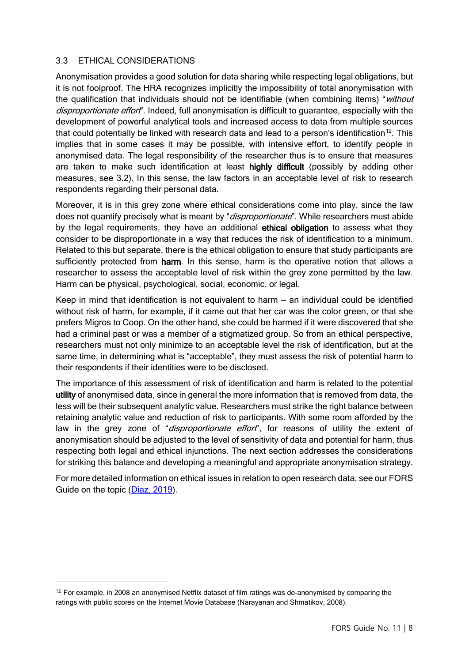## 3.3 ETHICAL CONSIDERATIONS

Anonymisation provides a good solution for data sharing while respecting legal obligations, but it is not foolproof. The HRA recognizes implicitly the impossibility of total anonymisation with the qualification that individuals should not be identifiable (when combining items) "without disproportionate effort". Indeed, full anonymisation is difficult to guarantee, especially with the development of powerful analytical tools and increased access to data from multiple sources that could potentially be linked with research data and lead to a person's identification<sup>[12](#page-7-0)</sup>. This implies that in some cases it may be possible, with intensive effort, to identify people in anonymised data. The legal responsibility of the researcher thus is to ensure that measures are taken to make such identification at least highly difficult (possibly by adding other measures, see 3.2). In this sense, the law factors in an acceptable level of risk to research respondents regarding their personal data.

Moreover, it is in this grey zone where ethical considerations come into play, since the law does not quantify precisely what is meant by "disproportionate". While researchers must abide by the legal requirements, they have an additional ethical obligation to assess what they consider to be disproportionate in a way that reduces the risk of identification to a minimum. Related to this but separate, there is the ethical obligation to ensure that study participants are sufficiently protected from harm. In this sense, harm is the operative notion that allows a researcher to assess the acceptable level of risk within the grey zone permitted by the law. Harm can be physical, psychological, social, economic, or legal.

Keep in mind that identification is not equivalent to harm — an individual could be identified without risk of harm, for example, if it came out that her car was the color green, or that she prefers Migros to Coop. On the other hand, she could be harmed if it were discovered that she had a criminal past or was a member of a stigmatized group. So from an ethical perspective, researchers must not only minimize to an acceptable level the risk of identification, but at the same time, in determining what is "acceptable", they must assess the risk of potential harm to their respondents if their identities were to be disclosed.

The importance of this assessment of risk of identification and harm is related to the potential utility of anonymised data, since in general the more information that is removed from data, the less will be their subsequent analytic value. Researchers must strike the right balance between retaining analytic value and reduction of risk to participants. With some room afforded by the law in the grey zone of "disproportionate effort", for reasons of utility the extent of anonymisation should be adjusted to the level of sensitivity of data and potential for harm, thus respecting both legal and ethical injunctions. The next section addresses the considerations for striking this balance and developing a meaningful and appropriate anonymisation strategy.

For more detailed information on ethical issues in relation to open research data, see our FORS Guide on the topic [\(Diaz, 2019\)](https://forscenter.ch/fors-guides/fg-2019-00003/).

<span id="page-7-0"></span> $12$  For example, in 2008 an anonymised Netflix dataset of film ratings was de-anonymised by comparing the ratings with public scores on the Internet Movie Database (Narayanan and Shmatikov, 2008).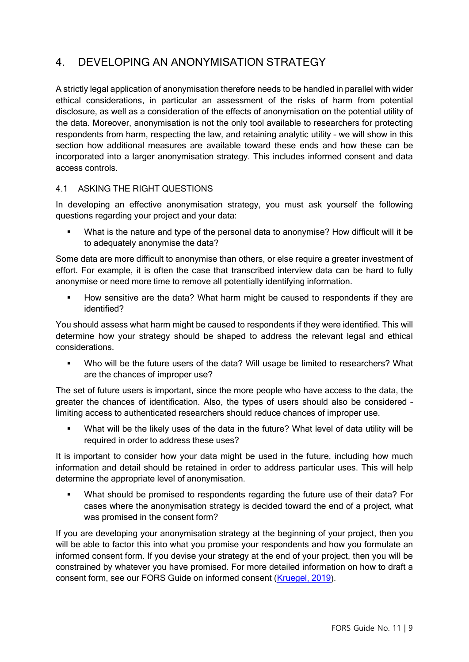# 4. DEVELOPING AN ANONYMISATION STRATEGY

A strictly legal application of anonymisation therefore needs to be handled in parallel with wider ethical considerations, in particular an assessment of the risks of harm from potential disclosure, as well as a consideration of the effects of anonymisation on the potential utility of the data. Moreover, anonymisation is not the only tool available to researchers for protecting respondents from harm, respecting the law, and retaining analytic utility – we will show in this section how additional measures are available toward these ends and how these can be incorporated into a larger anonymisation strategy. This includes informed consent and data access controls.

## 4.1 ASKING THE RIGHT QUESTIONS

In developing an effective anonymisation strategy, you must ask yourself the following questions regarding your project and your data:

 What is the nature and type of the personal data to anonymise? How difficult will it be to adequately anonymise the data?

Some data are more difficult to anonymise than others, or else require a greater investment of effort. For example, it is often the case that transcribed interview data can be hard to fully anonymise or need more time to remove all potentially identifying information.

How sensitive are the data? What harm might be caused to respondents if they are identified?

You should assess what harm might be caused to respondents if they were identified. This will determine how your strategy should be shaped to address the relevant legal and ethical considerations.

 Who will be the future users of the data? Will usage be limited to researchers? What are the chances of improper use?

The set of future users is important, since the more people who have access to the data, the greater the chances of identification. Also, the types of users should also be considered – limiting access to authenticated researchers should reduce chances of improper use.

 What will be the likely uses of the data in the future? What level of data utility will be required in order to address these uses?

It is important to consider how your data might be used in the future, including how much information and detail should be retained in order to address particular uses. This will help determine the appropriate level of anonymisation.

 What should be promised to respondents regarding the future use of their data? For cases where the anonymisation strategy is decided toward the end of a project, what was promised in the consent form?

If you are developing your anonymisation strategy at the beginning of your project, then you will be able to factor this into what you promise your respondents and how you formulate an informed consent form. If you devise your strategy at the end of your project, then you will be constrained by whatever you have promised. For more detailed information on how to draft a consent form, see our FORS Guide on informed consent [\(Kruegel, 2019\)](https://forscenter.ch/fors-guides/fg-2019-00005/).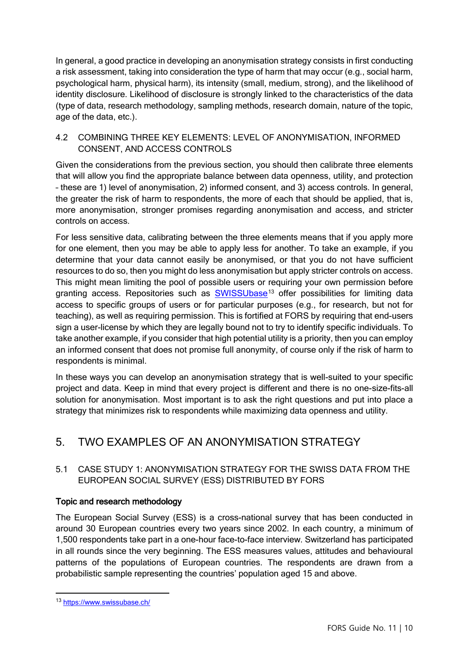In general, a good practice in developing an anonymisation strategy consists in first conducting a risk assessment, taking into consideration the type of harm that may occur (e.g., social harm, psychological harm, physical harm), its intensity (small, medium, strong), and the likelihood of identity disclosure. Likelihood of disclosure is strongly linked to the characteristics of the data (type of data, research methodology, sampling methods, research domain, nature of the topic, age of the data, etc.).

## 4.2 COMBINING THREE KEY ELEMENTS: LEVEL OF ANONYMISATION, INFORMED CONSENT, AND ACCESS CONTROLS

Given the considerations from the previous section, you should then calibrate three elements that will allow you find the appropriate balance between data openness, utility, and protection – these are 1) level of anonymisation, 2) informed consent, and 3) access controls. In general, the greater the risk of harm to respondents, the more of each that should be applied, that is, more anonymisation, stronger promises regarding anonymisation and access, and stricter controls on access.

For less sensitive data, calibrating between the three elements means that if you apply more for one element, then you may be able to apply less for another. To take an example, if you determine that your data cannot easily be anonymised, or that you do not have sufficient resources to do so, then you might do less anonymisation but apply stricter controls on access. This might mean limiting the pool of possible users or requiring your own permission before granting access. Repositories such as [SWISSUbase](https://www.swissubase.ch/en/)<sup>[13](#page-9-0)</sup> offer possibilities for limiting data access to specific groups of users or for particular purposes (e.g., for research, but not for teaching), as well as requiring permission. This is fortified at FORS by requiring that end-users sign a user-license by which they are legally bound not to try to identify specific individuals. To take another example, if you consider that high potential utility is a priority, then you can employ an informed consent that does not promise full anonymity, of course only if the risk of harm to respondents is minimal.

In these ways you can develop an anonymisation strategy that is well-suited to your specific project and data. Keep in mind that every project is different and there is no one-size-fits-all solution for anonymisation. Most important is to ask the right questions and put into place a strategy that minimizes risk to respondents while maximizing data openness and utility.

# 5. TWO EXAMPLES OF AN ANONYMISATION STRATEGY

# 5.1 CASE STUDY 1: ANONYMISATION STRATEGY FOR THE SWISS DATA FROM THE EUROPEAN SOCIAL SURVEY (ESS) DISTRIBUTED BY FORS

# Topic and research methodology

The European Social Survey (ESS) is a cross-national survey that has been conducted in around 30 European countries every two years since 2002. In each country, a minimum of 1,500 respondents take part in a one-hour face-to-face interview. Switzerland has participated in all rounds since the very beginning. The ESS measures values, attitudes and behavioural patterns of the populations of European countries. The respondents are drawn from a probabilistic sample representing the countries' population aged 15 and above.

<span id="page-9-0"></span><sup>13</sup> <https://www.swissubase.ch/>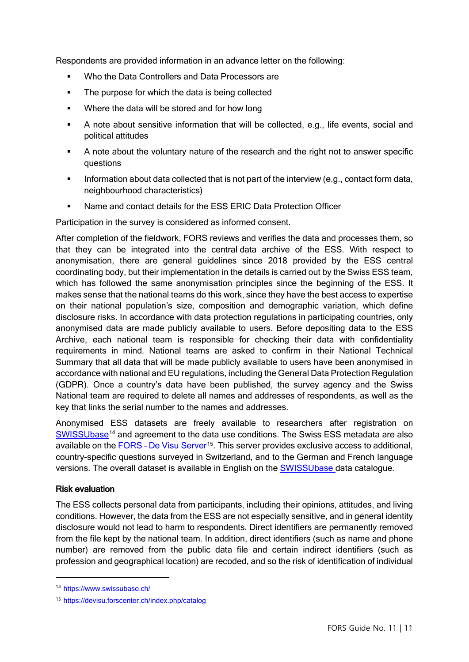Respondents are provided information in an advance letter on the following:

- Who the Data Controllers and Data Processors are
- The purpose for which the data is being collected
- Where the data will be stored and for how long
- A note about sensitive information that will be collected, e.g., life events, social and political attitudes
- A note about the voluntary nature of the research and the right not to answer specific questions
- Information about data collected that is not part of the interview (e.g., contact form data, neighbourhood characteristics)
- Name and contact details for the ESS ERIC Data Protection Officer

Participation in the survey is considered as informed consent.

After completion of the fieldwork, FORS reviews and verifies the data and processes them, so that they can be integrated into the central [data archive of the ESS.](http://www.europeansocialsurvey.org/data/) With respect to anonymisation, there are general guidelines since 2018 provided by the ESS central coordinating body, but their implementation in the details is carried out by the Swiss ESS team, which has followed the same anonymisation principles since the beginning of the ESS. It makes sense that the national teams do this work, since they have the best access to expertise on their national population's size, composition and demographic variation, which define disclosure risks. In accordance with data protection regulations in participating countries, only anonymised data are made publicly available to users. Before depositing data to the ESS Archive, each national team is responsible for checking their data with confidentiality requirements in mind. National teams are asked to confirm in their National Technical Summary that all data that will be made publicly available to users have been anonymised in accordance with national and EU regulations, including the General Data Protection Regulation (GDPR). Once a country's data have been published, the survey agency and the Swiss National team are required to delete all names and addresses of respondents, as well as the key that links the serial number to the names and addresses.

Anonymised ESS datasets are freely available to researchers after registration on [SWISSUbase](https://www.swissubase.ch/en/)<sup>[14](#page-10-0)</sup> and agreement to the data use conditions. The Swiss ESS metadata are also available on the FORS - [De Visu](https://devisu.forscenter.ch/index.php/catalog/central/about) Server<sup>15</sup>. This server provides exclusive access to additional, country-specific questions surveyed in Switzerland, and to the German and French language versions. The overall dataset is available in English on the **[SWISSUbase](https://www.swissubase.ch/en/) data catalogue.** 

## Risk evaluation

The ESS collects personal data from participants, including their opinions, attitudes, and living conditions. However, the data from the ESS are not especially sensitive, and in general identity disclosure would not lead to harm to respondents. Direct identifiers are permanently removed from the file kept by the national team. In addition, direct identifiers (such as name and phone number) are removed from the public data file and certain indirect identifiers (such as profession and geographical location) are recoded, and so the risk of identification of individual

<span id="page-10-0"></span><sup>14</sup> <https://www.swissubase.ch/>

<span id="page-10-1"></span><sup>15</sup> <https://devisu.forscenter.ch/index.php/catalog>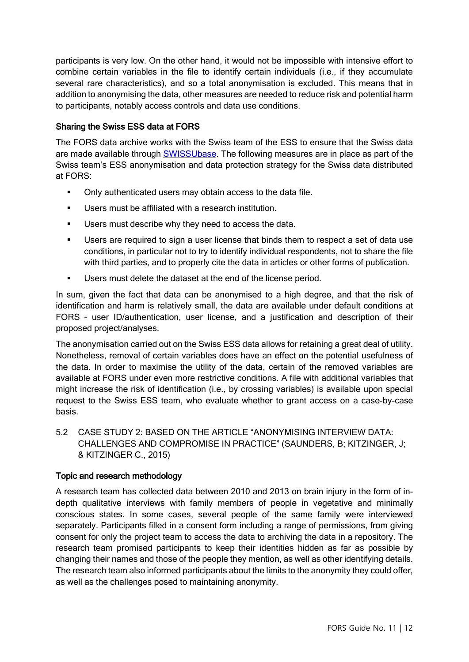participants is very low. On the other hand, it would not be impossible with intensive effort to combine certain variables in the file to identify certain individuals (i.e., if they accumulate several rare characteristics), and so a total anonymisation is excluded. This means that in addition to anonymising the data, other measures are needed to reduce risk and potential harm to participants, notably access controls and data use conditions.

# Sharing the Swiss ESS data at FORS

The FORS data archive works with the Swiss team of the ESS to ensure that the Swiss data are made available through [SWISSUbase.](https://www.swissubase.ch/en/) The following measures are in place as part of the Swiss team's ESS anonymisation and data protection strategy for the Swiss data distributed at FORS:

- Only authenticated users may obtain access to the data file.
- Users must be affiliated with a research institution.
- **Users must describe why they need to access the data.**
- Users are required to sign a user license that binds them to respect a set of data use conditions, in particular not to try to identify individual respondents, not to share the file with third parties, and to properly cite the data in articles or other forms of publication.
- **Users must delete the dataset at the end of the license period.**

In sum, given the fact that data can be anonymised to a high degree, and that the risk of identification and harm is relatively small, the data are available under default conditions at FORS – user ID/authentication, user license, and a justification and description of their proposed project/analyses.

The anonymisation carried out on the Swiss ESS data allows for retaining a great deal of utility. Nonetheless, removal of certain variables does have an effect on the potential usefulness of the data. In order to maximise the utility of the data, certain of the removed variables are available at FORS under even more restrictive conditions. A file with additional variables that might increase the risk of identification (i.e., by crossing variables) is available upon special request to the Swiss ESS team, who evaluate whether to grant access on a case-by-case basis.

5.2 CASE STUDY 2: BASED ON THE ARTICLE "ANONYMISING INTERVIEW DATA: CHALLENGES AND COMPROMISE IN PRACTICE" (SAUNDERS, B; KITZINGER, J; & KITZINGER C., 2015)

## Topic and research methodology

A research team has collected data between 2010 and 2013 on brain injury in the form of indepth qualitative interviews with family members of people in vegetative and minimally conscious states. In some cases, several people of the same family were interviewed separately. Participants filled in a consent form including a range of permissions, from giving consent for only the project team to access the data to archiving the data in a repository. The research team promised participants to keep their identities hidden as far as possible by changing their names and those of the people they mention, as well as other identifying details. The research team also informed participants about the limits to the anonymity they could offer, as well as the challenges posed to maintaining anonymity.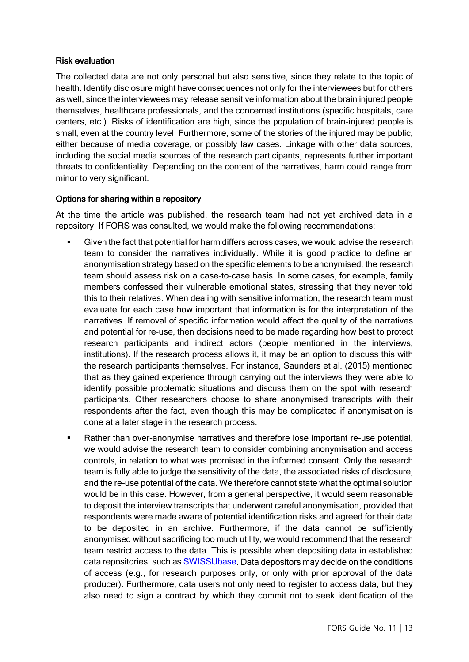#### Risk evaluation

The collected data are not only personal but also sensitive, since they relate to the topic of health. Identify disclosure might have consequences not only for the interviewees but for others as well, since the interviewees may release sensitive information about the brain injured people themselves, healthcare professionals, and the concerned institutions (specific hospitals, care centers, etc.). Risks of identification are high, since the population of brain-injured people is small, even at the country level. Furthermore, some of the stories of the injured may be public, either because of media coverage, or possibly law cases. Linkage with other data sources, including the social media sources of the research participants, represents further important threats to confidentiality. Depending on the content of the narratives, harm could range from minor to very significant.

#### Options for sharing within a repository

At the time the article was published, the research team had not yet archived data in a repository. If FORS was consulted, we would make the following recommendations:

- Given the fact that potential for harm differs across cases, we would advise the research team to consider the narratives individually. While it is good practice to define an anonymisation strategy based on the specific elements to be anonymised, the research team should assess risk on a case-to-case basis. In some cases, for example, family members confessed their vulnerable emotional states, stressing that they never told this to their relatives. When dealing with sensitive information, the research team must evaluate for each case how important that information is for the interpretation of the narratives. If removal of specific information would affect the quality of the narratives and potential for re-use, then decisions need to be made regarding how best to protect research participants and indirect actors (people mentioned in the interviews, institutions). If the research process allows it, it may be an option to discuss this with the research participants themselves. For instance, Saunders et al. (2015) mentioned that as they gained experience through carrying out the interviews they were able to identify possible problematic situations and discuss them on the spot with research participants. Other researchers choose to share anonymised transcripts with their respondents after the fact, even though this may be complicated if anonymisation is done at a later stage in the research process.
- Rather than over-anonymise narratives and therefore lose important re-use potential, we would advise the research team to consider combining anonymisation and access controls, in relation to what was promised in the informed consent. Only the research team is fully able to judge the sensitivity of the data, the associated risks of disclosure, and the re-use potential of the data. We therefore cannot state what the optimal solution would be in this case. However, from a general perspective, it would seem reasonable to deposit the interview transcripts that underwent careful anonymisation, provided that respondents were made aware of potential identification risks and agreed for their data to be deposited in an archive. Furthermore, if the data cannot be sufficiently anonymised without sacrificing too much utility, we would recommend that the research team restrict access to the data. This is possible when depositing data in established data repositories, such as [SWISSUbase.](https://www.swissubase.ch/en/) Data depositors may decide on the conditions of access (e.g., for research purposes only, or only with prior approval of the data producer). Furthermore, data users not only need to register to access data, but they also need to sign a contract by which they commit not to seek identification of the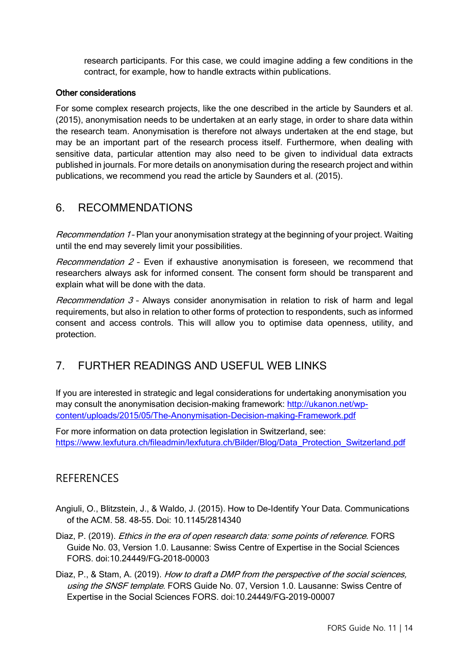research participants. For this case, we could imagine adding a few conditions in the contract, for example, how to handle extracts within publications.

#### Other considerations

For some complex research projects, like the one described in the article by Saunders et al. (2015), anonymisation needs to be undertaken at an early stage, in order to share data within the research team. Anonymisation is therefore not always undertaken at the end stage, but may be an important part of the research process itself. Furthermore, when dealing with sensitive data, particular attention may also need to be given to individual data extracts published in journals. For more details on anonymisation during the research project and within publications, we recommend you read the article by Saunders et al. (2015).

# 6. RECOMMENDATIONS

Recommendation 1- Plan your anonymisation strategy at the beginning of your project. Waiting until the end may severely limit your possibilities.

Recommendation  $2$  - Even if exhaustive anonymisation is foreseen, we recommend that researchers always ask for informed consent. The consent form should be transparent and explain what will be done with the data.

Recommendation  $3$  - Always consider anonymisation in relation to risk of harm and legal requirements, but also in relation to other forms of protection to respondents, such as informed consent and access controls. This will allow you to optimise data openness, utility, and protection.

# 7. FURTHER READINGS AND USEFUL WEB LINKS

If you are interested in strategic and legal considerations for undertaking anonymisation you may consult the anonymisation decision-making framework: [http://ukanon.net/wp](http://ukanon.net/wp-content/uploads/2015/05/The-Anonymisation-Decision-making-Framework.pdf)[content/uploads/2015/05/The-Anonymisation-Decision-making-Framework.pdf](http://ukanon.net/wp-content/uploads/2015/05/The-Anonymisation-Decision-making-Framework.pdf)

For more information on data protection legislation in Switzerland, see: [https://www.lexfutura.ch/fileadmin/lexfutura.ch/Bilder/Blog/Data\\_Protection\\_Switzerland.pdf](https://www.lexfutura.ch/fileadmin/lexfutura.ch/Bilder/Blog/Data_Protection_Switzerland.pdf)

# **REFERENCES**

- Angiuli, O., Blitzstein, J., & Waldo, J. (2015). How to De-Identify Your Data. Communications of the ACM. 58. 48-55. Doi: 10.1145/2814340
- Diaz, P. (2019). Ethics in the era of open research data: some points of reference. FORS Guide No. 03, Version 1.0. Lausanne: Swiss Centre of Expertise in the Social Sciences FORS. doi:10.24449/FG-2018-00003
- Diaz, P., & Stam, A. (2019). How to draft a DMP from the perspective of the social sciences, using the SNSF template. FORS Guide No. 07, Version 1.0. Lausanne: Swiss Centre of Expertise in the Social Sciences FORS. doi:10.24449/FG-2019-00007